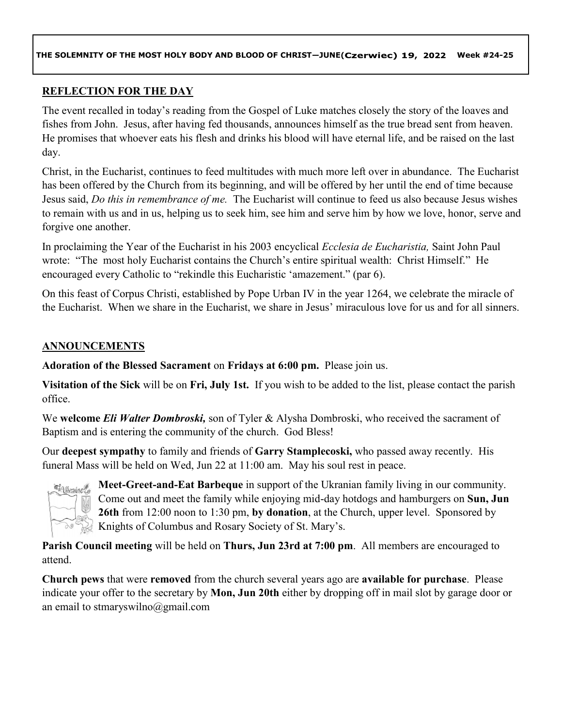### **REFLECTION FOR THE DAY**

The event recalled in today's reading from the Gospel of Luke matches closely the story of the loaves and fishes from John. Jesus, after having fed thousands, announces himself as the true bread sent from heaven. He promises that whoever eats his flesh and drinks his blood will have eternal life, and be raised on the last day.

Christ, in the Eucharist, continues to feed multitudes with much more left over in abundance. The Eucharist has been offered by the Church from its beginning, and will be offered by her until the end of time because Jesus said, *Do this in remembrance of me.* The Eucharist will continue to feed us also because Jesus wishes to remain with us and in us, helping us to seek him, see him and serve him by how we love, honor, serve and forgive one another.

In proclaiming the Year of the Eucharist in his 2003 encyclical *Ecclesia de Eucharistia,* Saint John Paul wrote: "The most holy Eucharist contains the Church's entire spiritual wealth: Christ Himself." He encouraged every Catholic to "rekindle this Eucharistic 'amazement." (par 6).

On this feast of Corpus Christi, established by Pope Urban IV in the year 1264, we celebrate the miracle of the Eucharist. When we share in the Eucharist, we share in Jesus' miraculous love for us and for all sinners.

### **ANNOUNCEMENTS**

**Adoration of the Blessed Sacrament** on **Fridays at 6:00 pm.** Please join us.

**Visitation of the Sick** will be on **Fri, July 1st.** If you wish to be added to the list, please contact the parish office.

We **welcome** *Eli Walter Dombroski,* son of Tyler & Alysha Dombroski, who received the sacrament of Baptism and is entering the community of the church. God Bless!

Our **deepest sympathy** to family and friends of **Garry Stamplecoski,** who passed away recently. His funeral Mass will be held on Wed, Jun 22 at 11:00 am. May his soul rest in peace.



**Meet-Greet-and-Eat Barbeque** in support of the Ukranian family living in our community. Come out and meet the family while enjoying mid-day hotdogs and hamburgers on **Sun, Jun 26th** from 12:00 noon to 1:30 pm, **by donation**, at the Church, upper level. Sponsored by Knights of Columbus and Rosary Society of St. Mary's.

**Parish Council meeting** will be held on **Thurs, Jun 23rd at 7:00 pm**. All members are encouraged to attend.

**Church pews** that were **removed** from the church several years ago are **available for purchase**. Please indicate your offer to the secretary by **Mon, Jun 20th** either by dropping off in mail slot by garage door or an email to stmaryswilno@gmail.com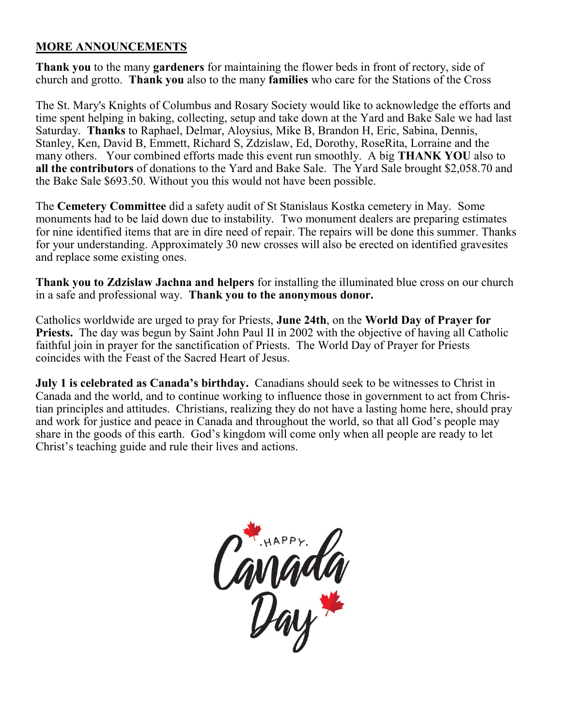## **MORE ANNOUNCEMENTS**

**Thank you** to the many **gardeners** for maintaining the flower beds in front of rectory, side of church and grotto. **Thank you** also to the many **families** who care for the Stations of the Cross

The St. Mary's Knights of Columbus and Rosary Society would like to acknowledge the efforts and time spent helping in baking, collecting, setup and take down at the Yard and Bake Sale we had last Saturday. **Thanks** to Raphael, Delmar, Aloysius, Mike B, Brandon H, Eric, Sabina, Dennis, Stanley, Ken, David B, Emmett, Richard S, Zdzislaw, Ed, Dorothy, RoseRita, Lorraine and the many others. Your combined efforts made this event run smoothly. A big **THANK YOU** also to **all the contributors** of donations to the Yard and Bake Sale. The Yard Sale brought \$2,058.70 and the Bake Sale \$693.50. Without you this would not have been possible.

The **Cemetery Committee** did a safety audit of St Stanislaus Kostka cemetery in May. Some monuments had to be laid down due to instability. Two monument dealers are preparing estimates for nine identified items that are in dire need of repair. The repairs will be done this summer. Thanks for your understanding. Approximately 30 new crosses will also be erected on identified gravesites and replace some existing ones.

**Thank you to Zdzislaw Jachna and helpers** for installing the illuminated blue cross on our church in a safe and professional way. **Thank you to the anonymous donor.** 

Catholics worldwide are urged to pray for Priests, **June 24th**, on the **World Day of Prayer for Priests.** The day was begun by Saint John Paul II in 2002 with the objective of having all Catholic faithful join in prayer for the sanctification of Priests. The World Day of Prayer for Priests coincides with the Feast of the Sacred Heart of Jesus.

**July 1 is celebrated as Canada's birthday.** Canadians should seek to be witnesses to Christ in Canada and the world, and to continue working to influence those in government to act from Christian principles and attitudes. Christians, realizing they do not have a lasting home here, should pray and work for justice and peace in Canada and throughout the world, so that all God's people may share in the goods of this earth. God's kingdom will come only when all people are ready to let Christ's teaching guide and rule their lives and actions.

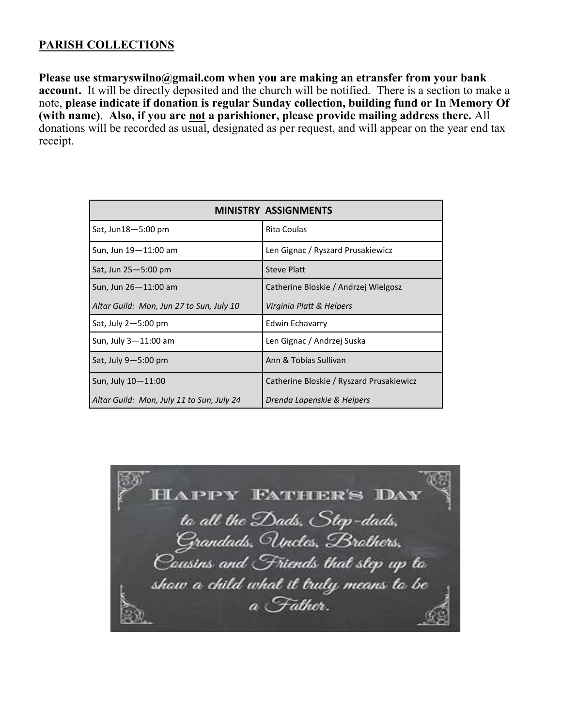### **PARISH COLLECTIONS**

**Please use stmaryswilno@gmail.com when you are making an etransfer from your bank account.** It will be directly deposited and the church will be notified. There is a section to make a note, **please indicate if donation is regular Sunday collection, building fund or In Memory Of (with name)**. **Also, if you are not a parishioner, please provide mailing address there.** All donations will be recorded as usual, designated as per request, and will appear on the year end tax receipt.

| <b>MINISTRY ASSIGNMENTS</b>               |                                          |  |
|-------------------------------------------|------------------------------------------|--|
| Sat, Jun18-5:00 pm                        | <b>Rita Coulas</b>                       |  |
| Sun, Jun 19-11:00 am                      | Len Gignac / Ryszard Prusakiewicz        |  |
| Sat, Jun 25-5:00 pm                       | Steve Platt                              |  |
| Sun, Jun 26-11:00 am                      | Catherine Bloskie / Andrzej Wielgosz     |  |
| Altar Guild: Mon, Jun 27 to Sun, July 10  | Virginia Platt & Helpers                 |  |
| Sat, July $2 - 5:00$ pm                   | Edwin Echavarry                          |  |
| Sun, July 3-11:00 am                      | Len Gignac / Andrzej Suska               |  |
| Sat, July $9 - 5:00$ pm                   | Ann & Tobias Sullivan                    |  |
| Sun, July 10-11:00                        | Catherine Bloskie / Ryszard Prusakiewicz |  |
| Altar Guild: Mon, July 11 to Sun, July 24 | Drenda Lapenskie & Helpers               |  |

**HAPPY FATHER'S DAY** to all the Dads, Step-dads, Grandads, Uncles, Brathers, Causins and Friends that step up to show a child what it truly means to be a Father.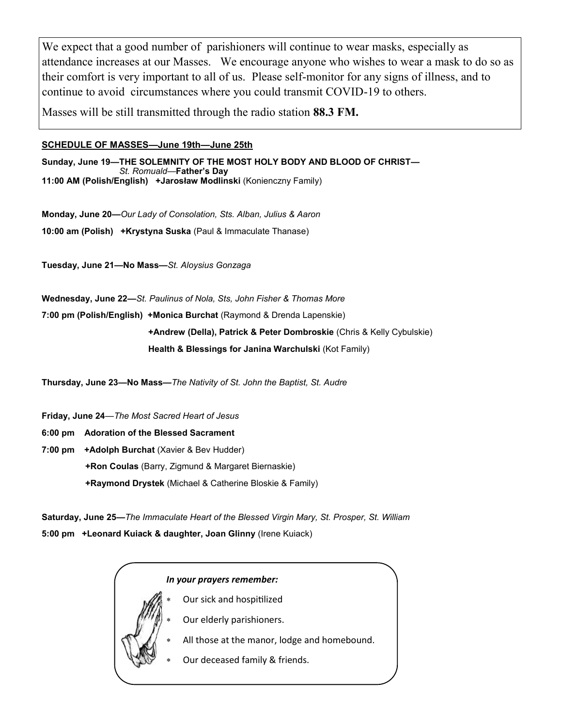We expect that a good number of parishioners will continue to wear masks, especially as attendance increases at our Masses. We encourage anyone who wishes to wear a mask to do so as their comfort is very important to all of us. Please self-monitor for any signs of illness, and to continue to avoid circumstances where you could transmit COVID-19 to others.

Masses will be still transmitted through the radio station **88.3 FM.**

### **SCHEDULE OF MASSES—June 19th—June 25th**

**Sunday, June 19—THE SOLEMNITY OF THE MOST HOLY BODY AND BLOOD OF CHRIST—** *St. Romuald—***Father's Day 11:00 AM (Polish/English) +Jarosław Modlinski** (Konienczny Family)

**Monday, June 20—***Our Lady of Consolation, Sts. Alban, Julius & Aaron* **10:00 am (Polish) +Krystyna Suska** (Paul & Immaculate Thanase)

**Tuesday, June 21—No Mass***—St. Aloysius Gonzaga*

**Wednesday, June 22—***St. Paulinus of Nola, Sts, John Fisher & Thomas More* **7:00 pm (Polish/English) +Monica Burchat** (Raymond & Drenda Lapenskie) **+Andrew (Della), Patrick & Peter Dombroskie** (Chris & Kelly Cybulskie) **Health & Blessings for Janina Warchulski** (Kot Family)

**Thursday, June 23—No Mass—***The Nativity of St. John the Baptist, St. Audre*

**Friday, June 24***—The Most Sacred Heart of Jesus*

**6:00 pm Adoration of the Blessed Sacrament** 

**7:00 pm +Adolph Burchat** (Xavier & Bev Hudder) **+Ron Coulas** (Barry, Zigmund & Margaret Biernaskie) **+Raymond Drystek** (Michael & Catherine Bloskie & Family)

**Saturday, June 25—***The Immaculate Heart of the Blessed Virgin Mary, St. Prosper, St. William* **5:00 pm +Leonard Kuiack & daughter, Joan Glinny** (Irene Kuiack)

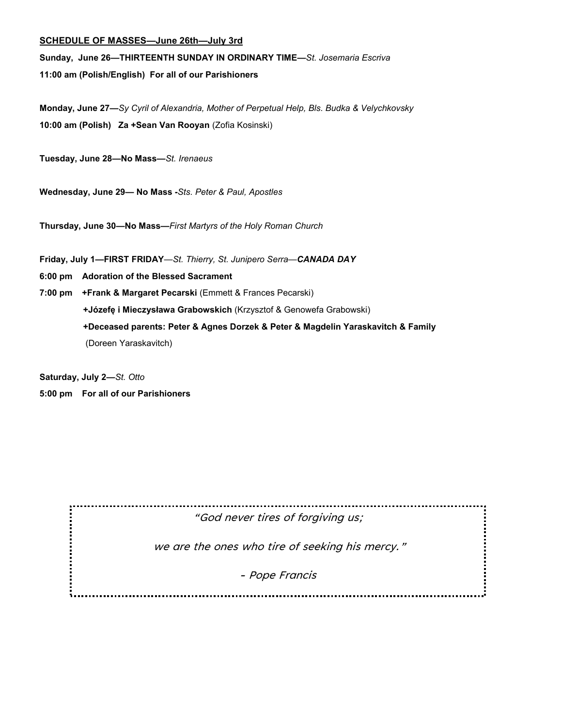#### **SCHEDULE OF MASSES—June 26th—July 3rd**

**Sunday, June 26—THIRTEENTH SUNDAY IN ORDINARY TIME—***St. Josemaria Escriva*

**11:00 am (Polish/English) For all of our Parishioners**

**Monday, June 27—***Sy Cyril of Alexandria, Mother of Perpetual Help, Bls. Budka & Velychkovsky* **10:00 am (Polish) Za +Sean Van Rooyan** (Zofia Kosinski)

**Tuesday, June 28—No Mass***—St. Irenaeus*

**Wednesday, June 29— No Mass -***Sts. Peter & Paul, Apostles*

**Thursday, June 30—No Mass—***First Martyrs of the Holy Roman Church*

**Friday, July 1—FIRST FRIDAY***—St. Thierry, St. Junipero Serra—CANADA DAY*

**6:00 pm Adoration of the Blessed Sacrament** 

**7:00 pm +Frank & Margaret Pecarski** (Emmett & Frances Pecarski) **+Józefę i Mieczysława Grabowskich** (Krzysztof & Genowefa Grabowski)  **+Deceased parents: Peter & Agnes Dorzek & Peter & Magdelin Yaraskavitch & Family** (Doreen Yaraskavitch)

**Saturday, July 2—***St. Otto*

**5:00 pm For all of our Parishioners**

"God never tires of forgiving us;

we are the ones who tire of seeking his mercy."

- Pope Francis